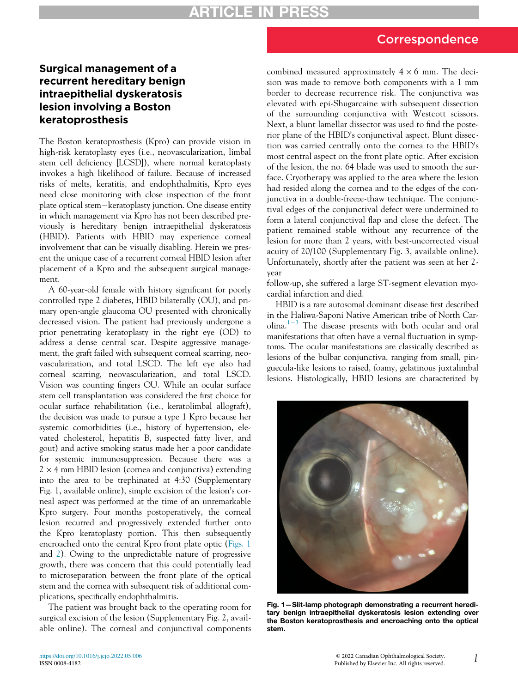# Correspondence

# Surgical management of a recurrent hereditary benign intraepithelial dyskeratosis lesion involving a Boston keratoprosthesis

The Boston keratoprosthesis (Kpro) can provide vision in high-risk keratoplasty eyes (i.e., neovascularization, limbal stem cell deficiency [LCSD]), where normal keratoplasty invokes a high likelihood of failure. Because of increased risks of melts, keratitis, and endophthalmitis, Kpro eyes need close monitoring with close inspection of the front plate optical stem-keratoplasty junction. One disease entity in which management via Kpro has not been described previously is hereditary benign intraepithelial dyskeratosis (HBID). Patients with HBID may experience corneal involvement that can be visually disabling. Herein we present the unique case of a recurrent corneal HBID lesion after placement of a Kpro and the subsequent surgical management.

<span id="page-0-0"></span>A 60-year-old female with history significant for poorly controlled type 2 diabetes, HBID bilaterally (OU), and primary open-angle glaucoma OU presented with chronically decreased vision. The patient had previously undergone a prior penetrating keratoplasty in the right eye (OD) to address a dense central scar. Despite aggressive management, the graft failed with subsequent corneal scarring, neovascularization, and total LSCD. The left eye also had corneal scarring, neovascularization, and total LSCD. Vision was counting fingers OU. While an ocular surface stem cell transplantation was considered the first choice for ocular surface rehabilitation (i.e., keratolimbal allograft), the decision was made to pursue a type 1 Kpro because her systemic comorbidities (i.e., history of hypertension, elevated cholesterol, hepatitis B, suspected fatty liver, and gout) and active smoking status made her a poor candidate for systemic immunosuppression. Because there was a  $2 \times 4$  mm HBID lesion (cornea and conjunctiva) extending into the area to be trephinated at 4:30 (Supplementary Fig. 1, available online), simple excision of the lesion's corneal aspect was performed at the time of an unremarkable Kpro surgery. Four months postoperatively, the corneal lesion recurred and progressively extended further onto the Kpro keratoplasty portion. This then subsequently encroached onto the central Kpro front plate optic ([Figs. 1](#page-0-0) and [2](#page-1-0)). Owing to the unpredictable nature of progressive growth, there was concern that this could potentially lead to microseparation between the front plate of the optical stem and the cornea with subsequent risk of additional complications, specifically endophthalmitis.

The patient was brought back to the operating room for surgical excision of the lesion (Supplementary Fig. 2, available online). The corneal and conjunctival components combined measured approximately  $4 \times 6$  mm. The decision was made to remove both components with a 1 mm border to decrease recurrence risk. The conjunctiva was elevated with epi-Shugarcaine with subsequent dissection of the surrounding conjunctiva with Westcott scissors. Next, a blunt lamellar dissector was used to find the posterior plane of the HBID's conjunctival aspect. Blunt dissection was carried centrally onto the cornea to the HBID's most central aspect on the front plate optic. After excision of the lesion, the no. 64 blade was used to smooth the surface. Cryotherapy was applied to the area where the lesion had resided along the cornea and to the edges of the conjunctiva in a double-freeze-thaw technique. The conjunctival edges of the conjunctival defect were undermined to form a lateral conjunctival flap and close the defect. The patient remained stable without any recurrence of the lesion for more than 2 years, with best-uncorrected visual acuity of 20/100 (Supplementary Fig. 3, available online). Unfortunately, shortly after the patient was seen at her 2 year

follow-up, she suffered a large ST-segment elevation myocardial infarction and died.

HBID is a rare autosomal dominant disease first described in the Haliwa-Saponi Native American tribe of North Car-olina.<sup>[1](#page-1-1)-[3](#page-1-1)</sup> The disease presents with both ocular and oral manifestations that often have a vernal fluctuation in symptoms. The ocular manifestations are classically described as lesions of the bulbar conjunctiva, ranging from small, pinguecula-like lesions to raised, foamy, gelatinous juxtalimbal lesions. Histologically, HBID lesions are characterized by



Fig. 1—Slit-lamp photograph demonstrating a recurrent hereditary benign intraepithelial dyskeratosis lesion extending over the Boston keratoprosthesis and encroaching onto the optical stem.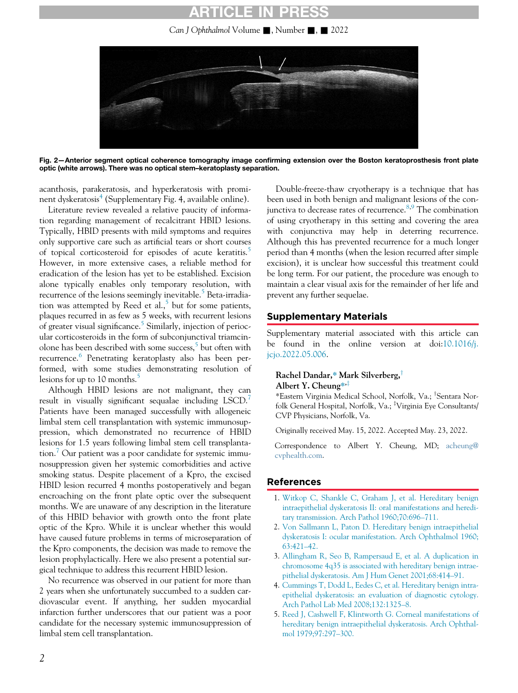# RTICLE IN

Can J Ophthalmol Volume  $\blacksquare$ , Number  $\blacksquare$ ,  $\blacksquare$  2022

<span id="page-1-0"></span>

Fig. 2—Anterior segment optical coherence tomography image confirming extension over the Boston keratoprosthesis front plate optic (white arrows). There was no optical stem–keratoplasty separation.

acanthosis, parakeratosis, and hyperkeratosis with promi-nent dyskeratosis<sup>[4](#page-1-2)</sup> (Supplementary Fig. 4, available online).

Literature review revealed a relative paucity of information regarding management of recalcitrant HBID lesions. Typically, HBID presents with mild symptoms and requires only supportive care such as artificial tears or short courses of topical corticosteroid for episodes of acute keratitis.<sup>[5](#page-1-3)</sup> However, in more extensive cases, a reliable method for eradication of the lesion has yet to be established. Excision alone typically enables only temporary resolution, with recurrence of the lesions seemingly inevitable.<sup>[5](#page-1-3)</sup> Beta-irradiation was attempted by Reed et al., $<sup>5</sup>$  $<sup>5</sup>$  $<sup>5</sup>$  but for some patients,</sup> plaques recurred in as few as 5 weeks, with recurrent lesions of greater visual significance.<sup>5</sup> Similarly, injection of periocular corticosteroids in the form of subconjunctival triamcin-olone has been described with some success,<sup>[5](#page-1-3)</sup> but often with recurrence.<sup>[6](#page-2-0)</sup> Penetrating keratoplasty also has been performed, with some studies demonstrating resolution of lesions for up to 10 months.<sup>[5](#page-1-3)</sup>

Although HBID lesions are not malignant, they can result in visually significant sequalae including LSCD.<sup>[7](#page-2-1)</sup> Patients have been managed successfully with allogeneic limbal stem cell transplantation with systemic immunosuppression, which demonstrated no recurrence of HBID lesions for 1.5 years following limbal stem cell transplanta-tion.<sup>[7](#page-2-1)</sup> Our patient was a poor candidate for systemic immunosuppression given her systemic comorbidities and active smoking status. Despite placement of a Kpro, the excised HBID lesion recurred 4 months postoperatively and began encroaching on the front plate optic over the subsequent months. We are unaware of any description in the literature of this HBID behavior with growth onto the front plate optic of the Kpro. While it is unclear whether this would have caused future problems in terms of microseparation of the Kpro components, the decision was made to remove the lesion prophylactically. Here we also present a potential surgical technique to address this recurrent HBID lesion.

<span id="page-1-3"></span><span id="page-1-2"></span><span id="page-1-1"></span>No recurrence was observed in our patient for more than 2 years when she unfortunately succumbed to a sudden cardiovascular event. If anything, her sudden myocardial infarction further underscores that our patient was a poor candidate for the necessary systemic immunosuppression of limbal stem cell transplantation.

Double-freeze-thaw cryotherapy is a technique that has been used in both benign and malignant lesions of the conjunctiva to decrease rates of recurrence. $8,9$  $8,9$  The combination of using cryotherapy in this setting and covering the area with conjunctiva may help in deterring recurrence. Although this has prevented recurrence for a much longer period than 4 months (when the lesion recurred after simple excision), it is unclear how successful this treatment could be long term. For our patient, the procedure was enough to maintain a clear visual axis for the remainder of her life and prevent any further sequelae.

## Supplementary Materials

Supplementary material associated with this article can be found in the online version at doi[:10.1016/j.](https://doi.org/10.1016/j.jcjo.2022.05.006) [jcjo.2022.05.006.](https://doi.org/10.1016/j.jcjo.2022.05.006)

#### Rachel Dandar,\* Mark Silverberg,<sup>†</sup> Albert Y. Cheung\*<sup>, $\ddagger$ </sup>

\*Eastern Virginia Medical School, Norfolk, Va.; <sup>†</sup>Sentara Norfolk General Hospital, Norfolk, Va.; <sup>‡</sup>Virginia Eye Consultants/ CVP Physicians, Norfolk, Va.

Originally received May. 15, 2022. Accepted May. 23, 2022.

Correspondence to Albert Y. Cheung, MD; [acheung@](mailto:acheung@cvphealth.com) [cvphealth.com.](mailto:acheung@cvphealth.com)

## References

- 1. [Witkop C, Shankle C, Graham J, et al. Hereditary benign](http://refhub.elsevier.com/S0008-4182(22)00170-3/sbref0001) [intraepithelial dyskeratosis II: oral manifestations and heredi](http://refhub.elsevier.com/S0008-4182(22)00170-3/sbref0001)[tary transmission. Arch Pathol 1960;70:696](http://refhub.elsevier.com/S0008-4182(22)00170-3/sbref0001)–711.
- 2. [Von Sallmann L, Paton D. Hereditary benign intraepithelial](http://refhub.elsevier.com/S0008-4182(22)00170-3/sbref0002) [dyskeratosis I: ocular manifestation. Arch Ophthalmol 1960;](http://refhub.elsevier.com/S0008-4182(22)00170-3/sbref0002) [63:421](http://refhub.elsevier.com/S0008-4182(22)00170-3/sbref0002)–42.
- 3. [Allingham R, Seo B, Rampersaud E, et al. A duplication in](http://refhub.elsevier.com/S0008-4182(22)00170-3/sbref0003) [chromosome 4q35 is associated with hereditary benign intrae](http://refhub.elsevier.com/S0008-4182(22)00170-3/sbref0003)[pithelial dyskeratosis. Am J Hum Genet 2001;68:414](http://refhub.elsevier.com/S0008-4182(22)00170-3/sbref0003)–91.
- 4. [Cummings T, Dodd L, Eedes C, et al. Hereditary benign intra](http://refhub.elsevier.com/S0008-4182(22)00170-3/sbref0004)[epithelial dyskeratosis: an evaluation of diagnostic cytology.](http://refhub.elsevier.com/S0008-4182(22)00170-3/sbref0004) [Arch Pathol Lab Med 2008;132:1325](http://refhub.elsevier.com/S0008-4182(22)00170-3/sbref0004)–8.
- 5. [Reed J, Cashwell F, Klintworth G. Corneal manifestations of](http://refhub.elsevier.com/S0008-4182(22)00170-3/sbref0005) [hereditary benign intraepithelial dyskeratosis. Arch Ophthal](http://refhub.elsevier.com/S0008-4182(22)00170-3/sbref0005)[mol 1979;97:297](http://refhub.elsevier.com/S0008-4182(22)00170-3/sbref0005)–300.